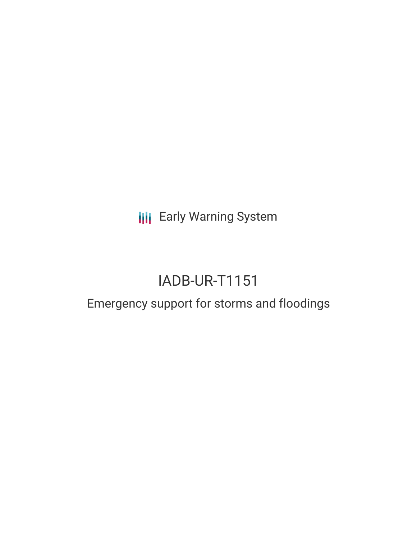**III** Early Warning System

# IADB-UR-T1151

## Emergency support for storms and floodings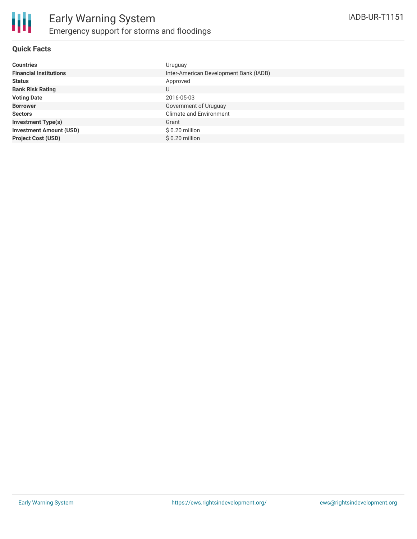

### **Quick Facts**

| <b>Countries</b>               | Uruguay                                |
|--------------------------------|----------------------------------------|
| <b>Financial Institutions</b>  | Inter-American Development Bank (IADB) |
| <b>Status</b>                  | Approved                               |
| <b>Bank Risk Rating</b>        | U                                      |
| <b>Voting Date</b>             | 2016-05-03                             |
| <b>Borrower</b>                | Government of Uruguay                  |
| <b>Sectors</b>                 | <b>Climate and Environment</b>         |
| <b>Investment Type(s)</b>      | Grant                                  |
| <b>Investment Amount (USD)</b> | $$0.20$ million                        |
| <b>Project Cost (USD)</b>      | $$0.20$ million                        |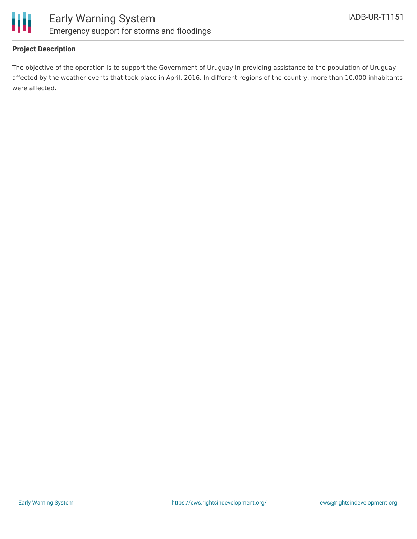

### **Project Description**

The objective of the operation is to support the Government of Uruguay in providing assistance to the population of Uruguay affected by the weather events that took place in April, 2016. In different regions of the country, more than 10.000 inhabitants were affected.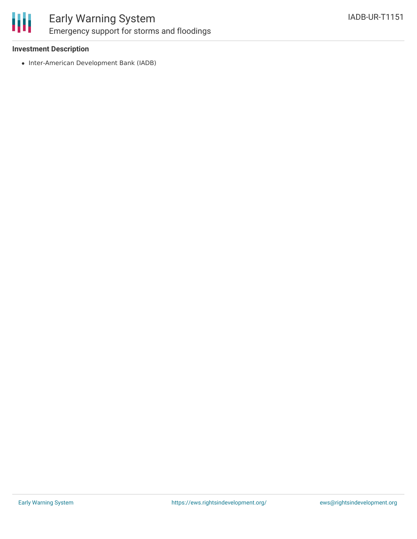

### Early Warning System Emergency support for storms and floodings

### **Investment Description**

• Inter-American Development Bank (IADB)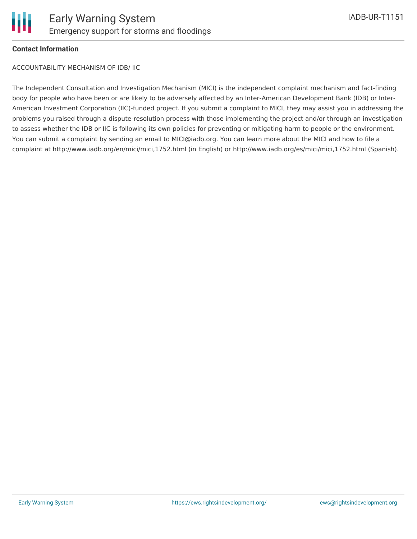### **Contact Information**

ACCOUNTABILITY MECHANISM OF IDB/ IIC

The Independent Consultation and Investigation Mechanism (MICI) is the independent complaint mechanism and fact-finding body for people who have been or are likely to be adversely affected by an Inter-American Development Bank (IDB) or Inter-American Investment Corporation (IIC)-funded project. If you submit a complaint to MICI, they may assist you in addressing the problems you raised through a dispute-resolution process with those implementing the project and/or through an investigation to assess whether the IDB or IIC is following its own policies for preventing or mitigating harm to people or the environment. You can submit a complaint by sending an email to MICI@iadb.org. You can learn more about the MICI and how to file a complaint at http://www.iadb.org/en/mici/mici,1752.html (in English) or http://www.iadb.org/es/mici/mici,1752.html (Spanish).